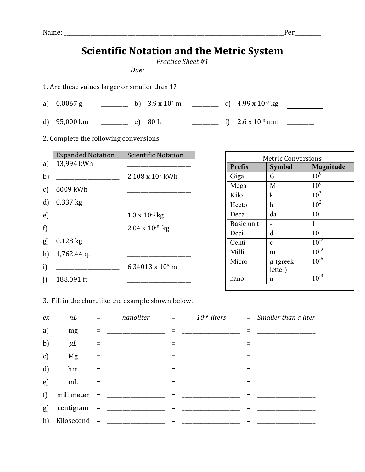$\begin{array}{c|c}\n\text{Basic unit} & - & 1 \\
\text{Deci} & d & 10^{-1}\n\end{array}$ Deci d  $10^{-1}$ <br>Centi c  $10^{-2}$ 

Milli m 10<sup>-3</sup>

 $10^{-6}$ 

letter)

nano n  $10^{-9}$ 

Centi c

Micro  $\mu$  (greek

|                                               | <b>Scientific Notation and the Metric System</b><br>Practice Sheet #1 |                                                         |      |               |                               |                 |  |  |  |  |  |  |  |
|-----------------------------------------------|-----------------------------------------------------------------------|---------------------------------------------------------|------|---------------|-------------------------------|-----------------|--|--|--|--|--|--|--|
|                                               |                                                                       |                                                         |      |               |                               |                 |  |  |  |  |  |  |  |
| 1. Are these values larger or smaller than 1? |                                                                       |                                                         |      |               |                               |                 |  |  |  |  |  |  |  |
|                                               |                                                                       |                                                         |      |               |                               |                 |  |  |  |  |  |  |  |
|                                               |                                                                       |                                                         |      |               | $f$ 2.6 x 10 <sup>-3</sup> mm |                 |  |  |  |  |  |  |  |
| 2. Complete the following conversions         |                                                                       |                                                         |      |               |                               |                 |  |  |  |  |  |  |  |
|                                               | <b>Expanded Notation</b>                                              | <b>Scientific Notation</b><br><b>Metric Conversions</b> |      |               |                               |                 |  |  |  |  |  |  |  |
|                                               | a) 13,994 kWh                                                         |                                                         |      | <b>Prefix</b> | <b>Symbol</b>                 | Magnitude       |  |  |  |  |  |  |  |
| b)                                            |                                                                       | $2.108 \times 10^3$ kWh                                 | Giga |               | $G$ and $G$                   | 10 <sup>9</sup> |  |  |  |  |  |  |  |
| $\mathbf{c}$                                  | 6009 kWh                                                              |                                                         | Mega |               | M                             | 10 <sup>6</sup> |  |  |  |  |  |  |  |
|                                               |                                                                       |                                                         | Kilo |               | $\bf k$                       | $10^3$          |  |  |  |  |  |  |  |
| d)                                            | $0.337$ kg                                                            |                                                         |      | Hecto         | h                             | 10 <sup>2</sup> |  |  |  |  |  |  |  |
| e)                                            |                                                                       | $1.3 \times 10^{-1}$ kg                                 | Deca |               | da                            | 10              |  |  |  |  |  |  |  |

3. Fill in the chart like the example shown below.

g) 0.128 kg \_\_\_\_\_\_\_\_\_\_\_\_\_\_\_\_\_\_\_\_\_\_\_\_

h) 1,762.44 qt \_\_\_\_\_\_\_\_\_\_\_\_\_\_\_\_\_\_\_\_\_\_\_\_

i)  $\frac{1}{2}$  6.34013 x 10<sup>5</sup> m

j) 188,091 ft

f) \_\_\_\_\_\_\_\_\_\_\_\_\_\_\_\_\_\_\_\_\_\_\_\_ 2.04 x 10-8 kg

| ex           |         |                                                                                                                                                                                                                                                                                                 |  | nL $=$ nanoliter $=$ $10^{-9}$ liters $=$ Smaller than a liter |
|--------------|---------|-------------------------------------------------------------------------------------------------------------------------------------------------------------------------------------------------------------------------------------------------------------------------------------------------|--|----------------------------------------------------------------|
| a)           | mg      |                                                                                                                                                                                                                                                                                                 |  |                                                                |
| b)           | $\mu L$ | = _________________ = ______________                                                                                                                                                                                                                                                            |  |                                                                |
| $\mathbf{c}$ | Mg      |                                                                                                                                                                                                                                                                                                 |  |                                                                |
| d)           | hm      |                                                                                                                                                                                                                                                                                                 |  |                                                                |
| e)           | mL      |                                                                                                                                                                                                                                                                                                 |  |                                                                |
|              |         | f) millimeter = $\frac{1}{2}$ = $\frac{1}{2}$ = $\frac{1}{2}$ = $\frac{1}{2}$ = $\frac{1}{2}$ = $\frac{1}{2}$ = $\frac{1}{2}$ = $\frac{1}{2}$ = $\frac{1}{2}$ = $\frac{1}{2}$ = $\frac{1}{2}$ = $\frac{1}{2}$ = $\frac{1}{2}$ = $\frac{1}{2}$ = $\frac{1}{2}$ = $\frac{1}{2}$ = $\frac{1}{2}$ = |  |                                                                |
|              |         | g) centigram = $\frac{1}{2}$                                                                                                                                                                                                                                                                    |  |                                                                |
|              |         | h) Kilosecond = $\frac{1}{2}$                                                                                                                                                                                                                                                                   |  |                                                                |